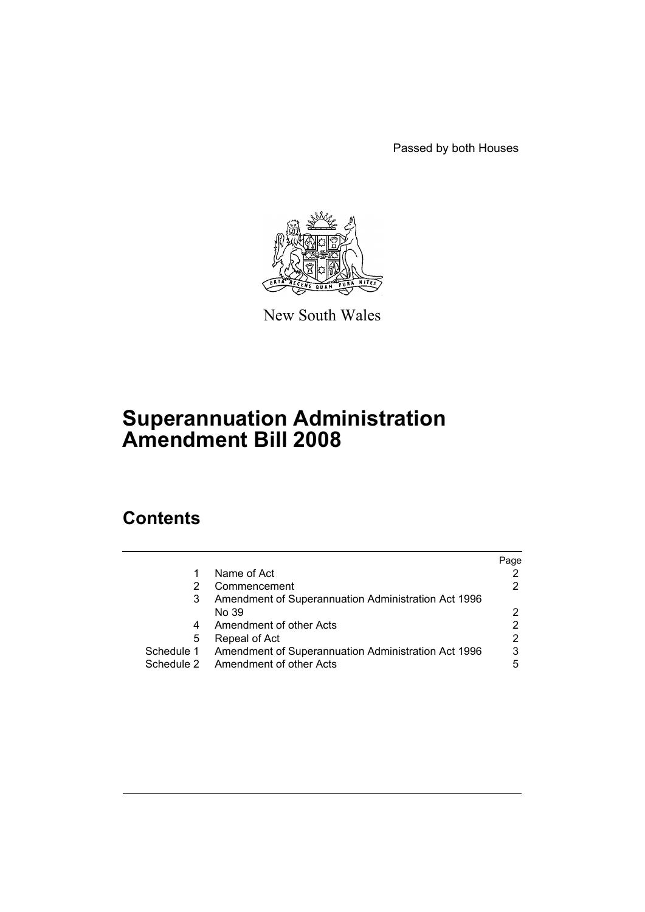Passed by both Houses



New South Wales

# **Superannuation Administration Amendment Bill 2008**

# **Contents**

|            |                                                     | Page |
|------------|-----------------------------------------------------|------|
| 1          | Name of Act                                         |      |
| 2          | Commencement                                        |      |
| 3          | Amendment of Superannuation Administration Act 1996 |      |
|            | No 39                                               |      |
| 4          | Amendment of other Acts                             |      |
| 5          | Repeal of Act                                       | 2    |
| Schedule 1 | Amendment of Superannuation Administration Act 1996 | 3    |
|            | Schedule 2 Amendment of other Acts                  | 5    |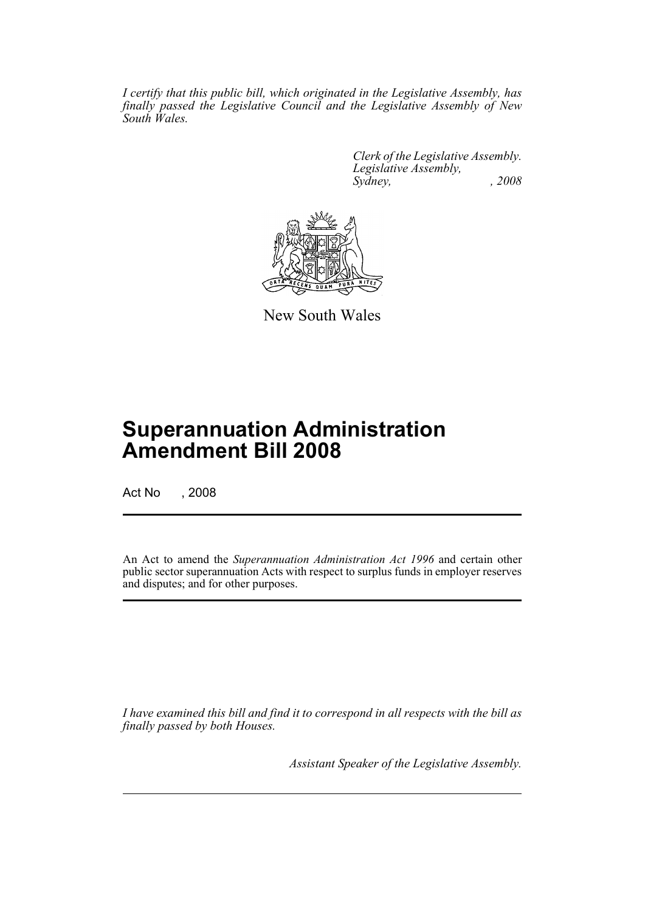*I certify that this public bill, which originated in the Legislative Assembly, has finally passed the Legislative Council and the Legislative Assembly of New South Wales.*

> *Clerk of the Legislative Assembly. Legislative Assembly, Sydney, , 2008*



New South Wales

# **Superannuation Administration Amendment Bill 2008**

Act No , 2008

An Act to amend the *Superannuation Administration Act 1996* and certain other public sector superannuation Acts with respect to surplus funds in employer reserves and disputes; and for other purposes.

*I have examined this bill and find it to correspond in all respects with the bill as finally passed by both Houses.*

*Assistant Speaker of the Legislative Assembly.*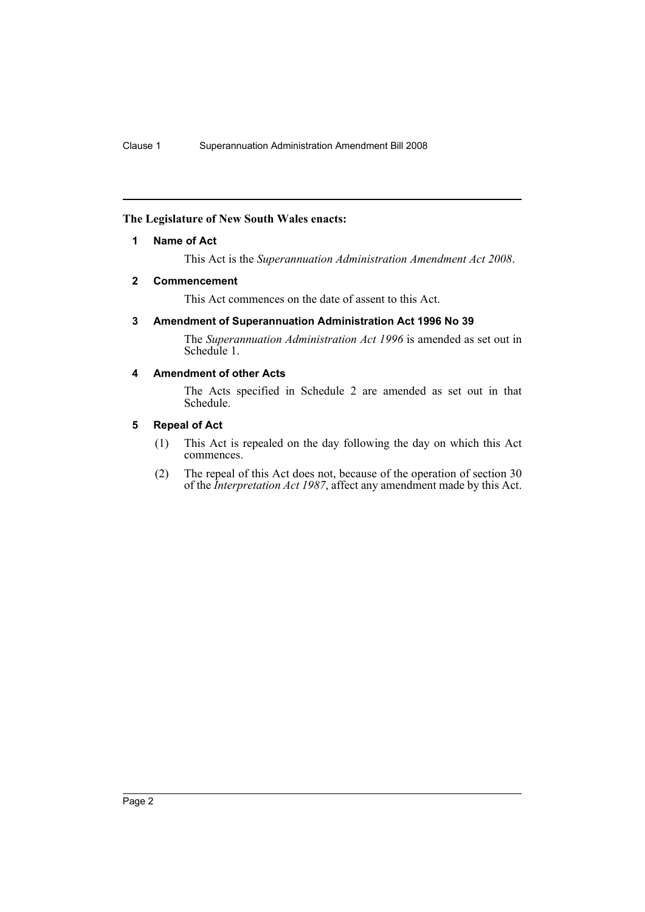# <span id="page-2-0"></span>**The Legislature of New South Wales enacts:**

# **1 Name of Act**

This Act is the *Superannuation Administration Amendment Act 2008*.

# <span id="page-2-1"></span>**2 Commencement**

This Act commences on the date of assent to this Act.

# <span id="page-2-2"></span>**3 Amendment of Superannuation Administration Act 1996 No 39**

The *Superannuation Administration Act 1996* is amended as set out in Schedule 1.

# <span id="page-2-3"></span>**4 Amendment of other Acts**

The Acts specified in Schedule 2 are amended as set out in that Schedule.

# <span id="page-2-4"></span>**5 Repeal of Act**

- (1) This Act is repealed on the day following the day on which this Act commences.
- (2) The repeal of this Act does not, because of the operation of section 30 of the *Interpretation Act 1987*, affect any amendment made by this Act.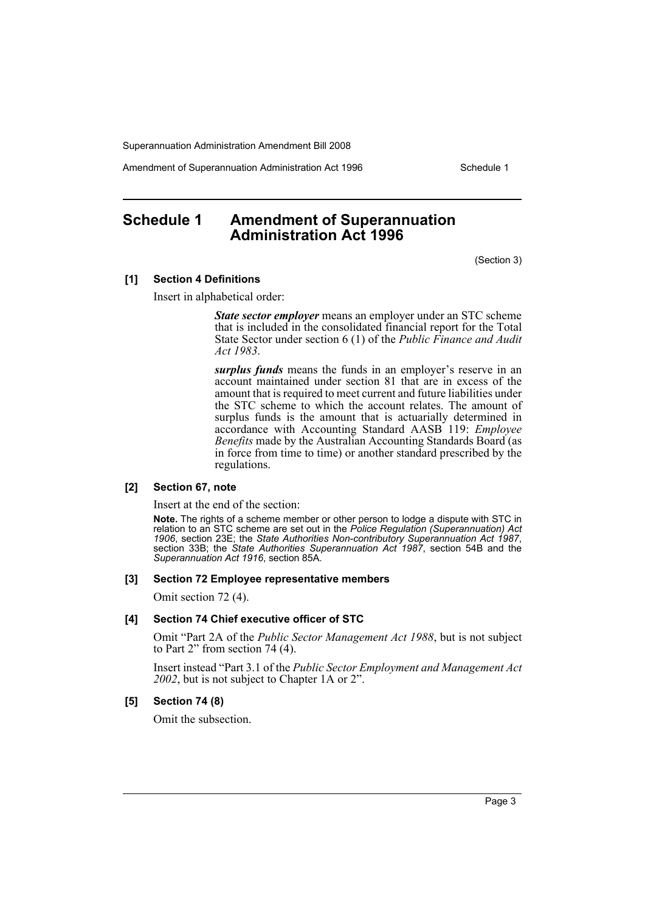Amendment of Superannuation Administration Act 1996 Schedule 1

# <span id="page-3-0"></span>**Schedule 1 Amendment of Superannuation Administration Act 1996**

(Section 3)

## **[1] Section 4 Definitions**

Insert in alphabetical order:

*State sector employer* means an employer under an STC scheme that is included in the consolidated financial report for the Total State Sector under section 6 (1) of the *Public Finance and Audit Act 1983*.

*surplus funds* means the funds in an employer's reserve in an account maintained under section 81 that are in excess of the amount that is required to meet current and future liabilities under the STC scheme to which the account relates. The amount of surplus funds is the amount that is actuarially determined in accordance with Accounting Standard AASB 119: *Employee Benefits* made by the Australian Accounting Standards Board (as in force from time to time) or another standard prescribed by the regulations.

#### **[2] Section 67, note**

Insert at the end of the section:

**Note.** The rights of a scheme member or other person to lodge a dispute with STC in relation to an STC scheme are set out in the *Police Regulation (Superannuation) Act 1906*, section 23E; the *State Authorities Non-contributory Superannuation Act 1987*, section 33B; the *State Authorities Superannuation Act 1987*, section 54B and the *Superannuation Act 1916*, section 85A.

## **[3] Section 72 Employee representative members**

Omit section 72 (4).

## **[4] Section 74 Chief executive officer of STC**

Omit "Part 2A of the *Public Sector Management Act 1988*, but is not subject to Part 2" from section 74 (4).

Insert instead "Part 3.1 of the *Public Sector Employment and Management Act 2002*, but is not subject to Chapter 1A or 2".

## **[5] Section 74 (8)**

Omit the subsection.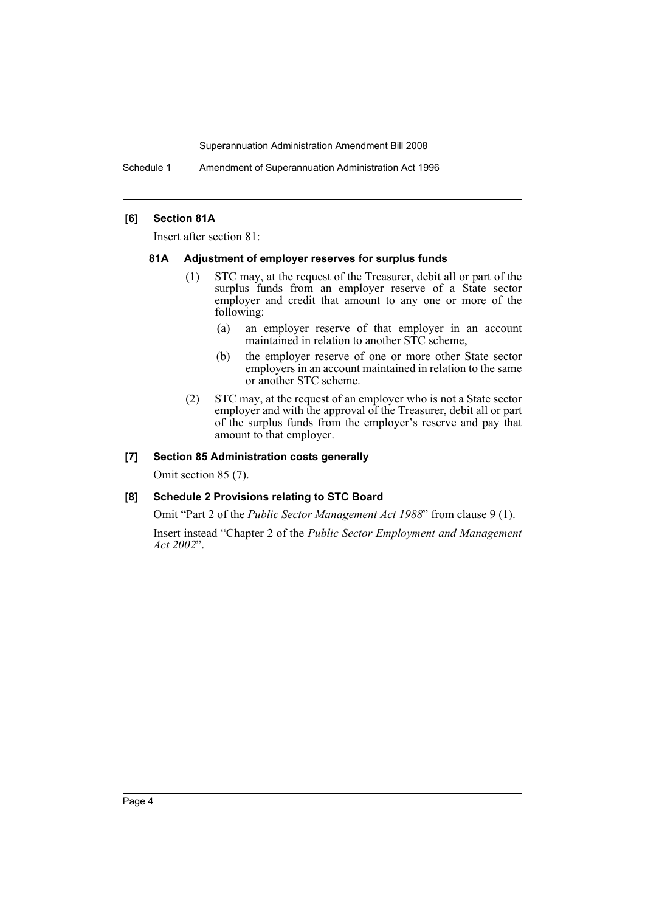Schedule 1 Amendment of Superannuation Administration Act 1996

# **[6] Section 81A**

Insert after section 81:

## **81A Adjustment of employer reserves for surplus funds**

- (1) STC may, at the request of the Treasurer, debit all or part of the surplus funds from an employer reserve of a State sector employer and credit that amount to any one or more of the following:
	- (a) an employer reserve of that employer in an account maintained in relation to another STC scheme,
	- (b) the employer reserve of one or more other State sector employers in an account maintained in relation to the same or another STC scheme.
- (2) STC may, at the request of an employer who is not a State sector employer and with the approval of the Treasurer, debit all or part of the surplus funds from the employer's reserve and pay that amount to that employer.

# **[7] Section 85 Administration costs generally**

Omit section 85 (7).

# **[8] Schedule 2 Provisions relating to STC Board**

Omit "Part 2 of the *Public Sector Management Act 1988*" from clause 9 (1). Insert instead "Chapter 2 of the *Public Sector Employment and Management Act 2002*".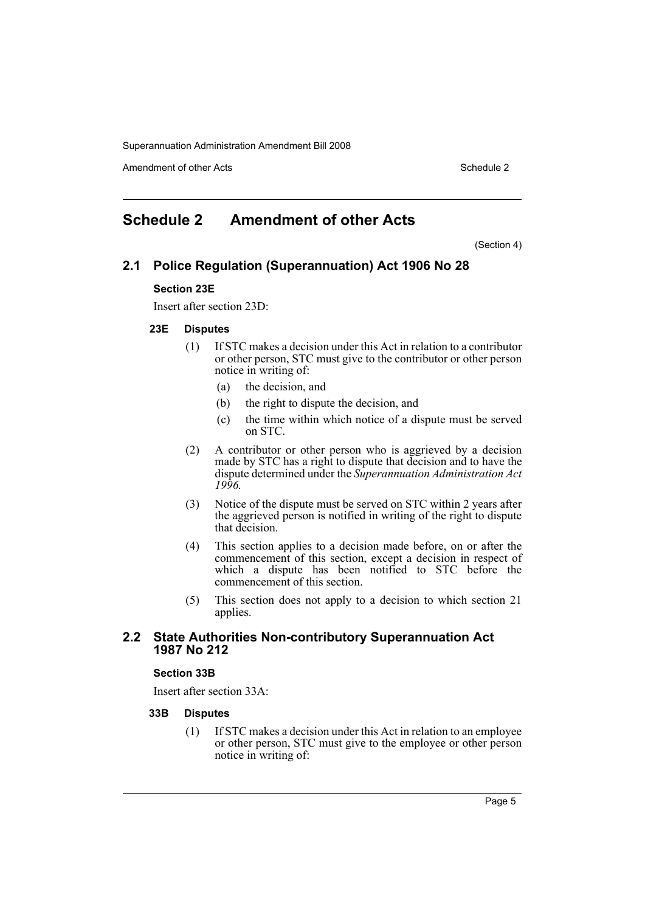Amendment of other Acts **Schedule 2** and the 2 and the 2 and 2 and 2 and 2 and 2 and 2 and 2 and 2 and 2 and 2 and 2 and 2 and 2 and 2 and 2 and 2 and 2 and 2 and 2 and 2 and 2 and 2 and 2 and 2 and 2 and 2 and 2 and 2 and

# <span id="page-5-0"></span>**Schedule 2 Amendment of other Acts**

(Section 4)

# **2.1 Police Regulation (Superannuation) Act 1906 No 28**

## **Section 23E**

Insert after section 23D:

#### **23E Disputes**

- (1) If STC makes a decision under this Act in relation to a contributor or other person, STC must give to the contributor or other person notice in writing of:
	- (a) the decision, and
	- (b) the right to dispute the decision, and
	- (c) the time within which notice of a dispute must be served on STC.
- (2) A contributor or other person who is aggrieved by a decision made by STC has a right to dispute that decision and to have the dispute determined under the *Superannuation Administration Act 1996.*
- (3) Notice of the dispute must be served on STC within 2 years after the aggrieved person is notified in writing of the right to dispute that decision.
- (4) This section applies to a decision made before, on or after the commencement of this section, except a decision in respect of which a dispute has been notified to STC before the commencement of this section.
- (5) This section does not apply to a decision to which section 21 applies.

# **2.2 State Authorities Non-contributory Superannuation Act 1987 No 212**

### **Section 33B**

Insert after section 33A:

#### **33B Disputes**

(1) If STC makes a decision under this Act in relation to an employee or other person, STC must give to the employee or other person notice in writing of: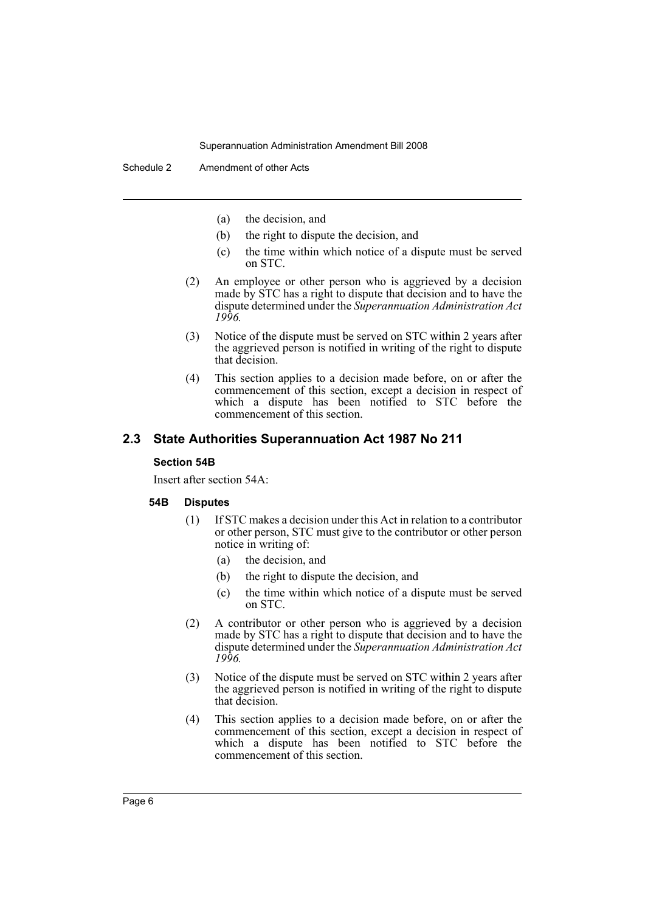- (a) the decision, and
- (b) the right to dispute the decision, and
- (c) the time within which notice of a dispute must be served on STC.
- (2) An employee or other person who is aggrieved by a decision made by STC has a right to dispute that decision and to have the dispute determined under the *Superannuation Administration Act 1996.*
- (3) Notice of the dispute must be served on STC within 2 years after the aggrieved person is notified in writing of the right to dispute that decision.
- (4) This section applies to a decision made before, on or after the commencement of this section, except a decision in respect of which a dispute has been notified to STC before the commencement of this section.

# **2.3 State Authorities Superannuation Act 1987 No 211**

## **Section 54B**

Insert after section 54A:

#### **54B Disputes**

- (1) If STC makes a decision under this Act in relation to a contributor or other person, STC must give to the contributor or other person notice in writing of:
	- (a) the decision, and
	- (b) the right to dispute the decision, and
	- (c) the time within which notice of a dispute must be served on STC.
- (2) A contributor or other person who is aggrieved by a decision made by STC has a right to dispute that decision and to have the dispute determined under the *Superannuation Administration Act 1996.*
- (3) Notice of the dispute must be served on STC within 2 years after the aggrieved person is notified in writing of the right to dispute that decision.
- (4) This section applies to a decision made before, on or after the commencement of this section, except a decision in respect of which a dispute has been notified to STC before the commencement of this section.